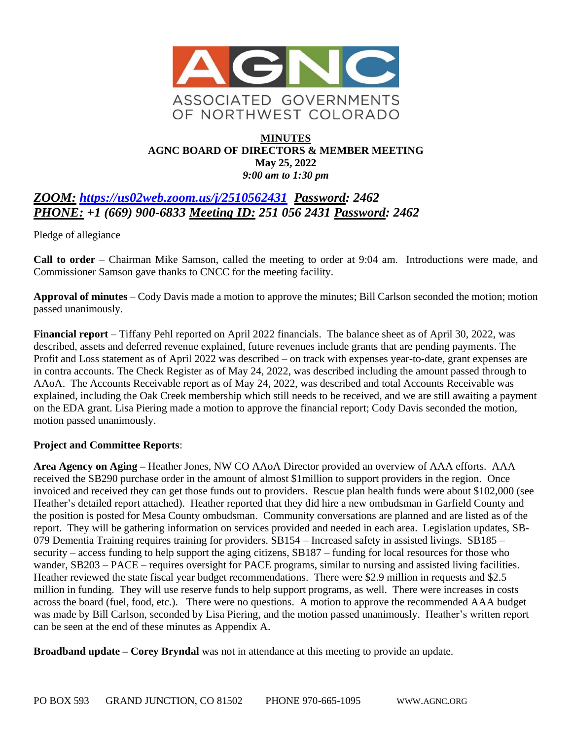

### **MINUTES AGNC BOARD OF DIRECTORS & MEMBER MEETING May 25, 2022** *9:00 am to 1:30 pm*

# *ZOOM: <https://us02web.zoom.us/j/2510562431>**Password: 2462 PHONE: +1 (669) 900-6833 Meeting ID: 251 056 2431 Password: 2462*

Pledge of allegiance

**Call to order** – Chairman Mike Samson, called the meeting to order at 9:04 am. Introductions were made, and Commissioner Samson gave thanks to CNCC for the meeting facility.

**Approval of minutes** – Cody Davis made a motion to approve the minutes; Bill Carlson seconded the motion; motion passed unanimously.

**Financial report** – Tiffany Pehl reported on April 2022 financials. The balance sheet as of April 30, 2022, was described, assets and deferred revenue explained, future revenues include grants that are pending payments. The Profit and Loss statement as of April 2022 was described – on track with expenses year-to-date, grant expenses are in contra accounts. The Check Register as of May 24, 2022, was described including the amount passed through to AAoA. The Accounts Receivable report as of May 24, 2022, was described and total Accounts Receivable was explained, including the Oak Creek membership which still needs to be received, and we are still awaiting a payment on the EDA grant. Lisa Piering made a motion to approve the financial report; Cody Davis seconded the motion, motion passed unanimously.

#### **Project and Committee Reports**:

**Area Agency on Aging –** Heather Jones, NW CO AAoA Director provided an overview of AAA efforts. AAA received the SB290 purchase order in the amount of almost \$1million to support providers in the region. Once invoiced and received they can get those funds out to providers. Rescue plan health funds were about \$102,000 (see Heather's detailed report attached). Heather reported that they did hire a new ombudsman in Garfield County and the position is posted for Mesa County ombudsman. Community conversations are planned and are listed as of the report. They will be gathering information on services provided and needed in each area. Legislation updates, SB-079 Dementia Training requires training for providers. SB154 – Increased safety in assisted livings. SB185 – security – access funding to help support the aging citizens, SB187 – funding for local resources for those who wander, SB203 – PACE – requires oversight for PACE programs, similar to nursing and assisted living facilities. Heather reviewed the state fiscal year budget recommendations. There were \$2.9 million in requests and \$2.5 million in funding. They will use reserve funds to help support programs, as well. There were increases in costs across the board (fuel, food, etc.). There were no questions. A motion to approve the recommended AAA budget was made by Bill Carlson, seconded by Lisa Piering, and the motion passed unanimously. Heather's written report can be seen at the end of these minutes as Appendix A.

**Broadband update – Corey Bryndal** was not in attendance at this meeting to provide an update.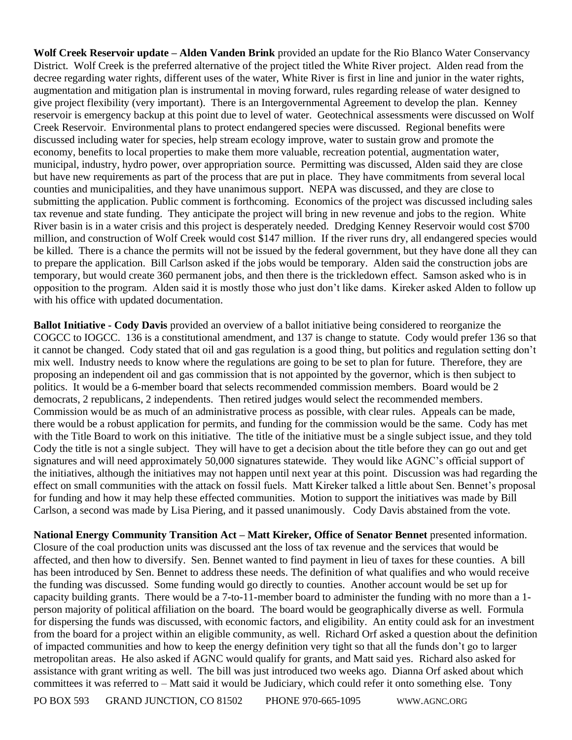**Wolf Creek Reservoir update – Alden Vanden Brink** provided an update for the Rio Blanco Water Conservancy District. Wolf Creek is the preferred alternative of the project titled the White River project. Alden read from the decree regarding water rights, different uses of the water, White River is first in line and junior in the water rights, augmentation and mitigation plan is instrumental in moving forward, rules regarding release of water designed to give project flexibility (very important). There is an Intergovernmental Agreement to develop the plan. Kenney reservoir is emergency backup at this point due to level of water. Geotechnical assessments were discussed on Wolf Creek Reservoir. Environmental plans to protect endangered species were discussed. Regional benefits were discussed including water for species, help stream ecology improve, water to sustain grow and promote the economy, benefits to local properties to make them more valuable, recreation potential, augmentation water, municipal, industry, hydro power, over appropriation source. Permitting was discussed, Alden said they are close but have new requirements as part of the process that are put in place. They have commitments from several local counties and municipalities, and they have unanimous support. NEPA was discussed, and they are close to submitting the application. Public comment is forthcoming. Economics of the project was discussed including sales tax revenue and state funding. They anticipate the project will bring in new revenue and jobs to the region. White River basin is in a water crisis and this project is desperately needed. Dredging Kenney Reservoir would cost \$700 million, and construction of Wolf Creek would cost \$147 million. If the river runs dry, all endangered species would be killed. There is a chance the permits will not be issued by the federal government, but they have done all they can to prepare the application. Bill Carlson asked if the jobs would be temporary. Alden said the construction jobs are temporary, but would create 360 permanent jobs, and then there is the trickledown effect. Samson asked who is in opposition to the program. Alden said it is mostly those who just don't like dams. Kireker asked Alden to follow up with his office with updated documentation.

**Ballot Initiative - Cody Davis** provided an overview of a ballot initiative being considered to reorganize the COGCC to IOGCC. 136 is a constitutional amendment, and 137 is change to statute. Cody would prefer 136 so that it cannot be changed. Cody stated that oil and gas regulation is a good thing, but politics and regulation setting don't mix well. Industry needs to know where the regulations are going to be set to plan for future. Therefore, they are proposing an independent oil and gas commission that is not appointed by the governor, which is then subject to politics. It would be a 6-member board that selects recommended commission members. Board would be 2 democrats, 2 republicans, 2 independents. Then retired judges would select the recommended members. Commission would be as much of an administrative process as possible, with clear rules. Appeals can be made, there would be a robust application for permits, and funding for the commission would be the same. Cody has met with the Title Board to work on this initiative. The title of the initiative must be a single subject issue, and they told Cody the title is not a single subject. They will have to get a decision about the title before they can go out and get signatures and will need approximately 50,000 signatures statewide. They would like AGNC's official support of the initiatives, although the initiatives may not happen until next year at this point. Discussion was had regarding the effect on small communities with the attack on fossil fuels. Matt Kireker talked a little about Sen. Bennet's proposal for funding and how it may help these effected communities. Motion to support the initiatives was made by Bill Carlson, a second was made by Lisa Piering, and it passed unanimously. Cody Davis abstained from the vote.

**National Energy Community Transition Act – Matt Kireker, Office of Senator Bennet** presented information. Closure of the coal production units was discussed ant the loss of tax revenue and the services that would be affected, and then how to diversify. Sen. Bennet wanted to find payment in lieu of taxes for these counties. A bill has been introduced by Sen. Bennet to address these needs. The definition of what qualifies and who would receive the funding was discussed. Some funding would go directly to counties. Another account would be set up for capacity building grants. There would be a 7-to-11-member board to administer the funding with no more than a 1 person majority of political affiliation on the board. The board would be geographically diverse as well. Formula for dispersing the funds was discussed, with economic factors, and eligibility. An entity could ask for an investment from the board for a project within an eligible community, as well. Richard Orf asked a question about the definition of impacted communities and how to keep the energy definition very tight so that all the funds don't go to larger metropolitan areas. He also asked if AGNC would qualify for grants, and Matt said yes. Richard also asked for assistance with grant writing as well. The bill was just introduced two weeks ago. Dianna Orf asked about which committees it was referred to – Matt said it would be Judiciary, which could refer it onto something else. Tony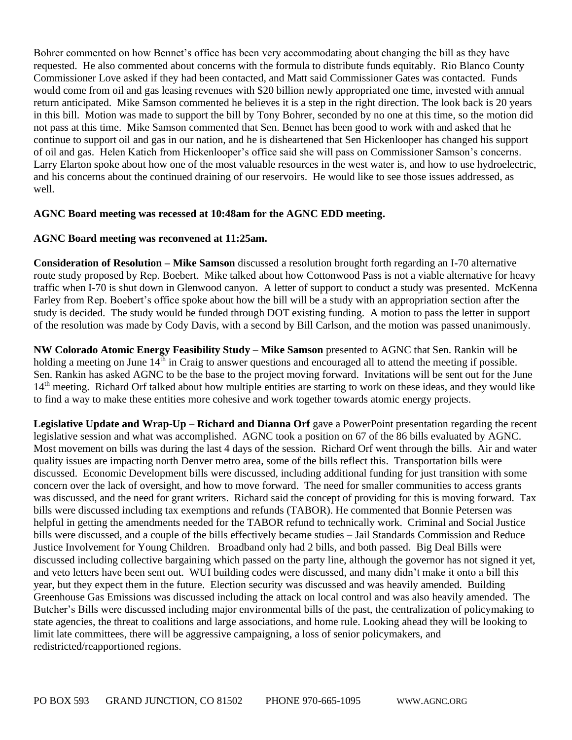Bohrer commented on how Bennet's office has been very accommodating about changing the bill as they have requested. He also commented about concerns with the formula to distribute funds equitably. Rio Blanco County Commissioner Love asked if they had been contacted, and Matt said Commissioner Gates was contacted. Funds would come from oil and gas leasing revenues with \$20 billion newly appropriated one time, invested with annual return anticipated. Mike Samson commented he believes it is a step in the right direction. The look back is 20 years in this bill. Motion was made to support the bill by Tony Bohrer, seconded by no one at this time, so the motion did not pass at this time. Mike Samson commented that Sen. Bennet has been good to work with and asked that he continue to support oil and gas in our nation, and he is disheartened that Sen Hickenlooper has changed his support of oil and gas. Helen Katich from Hickenlooper's office said she will pass on Commissioner Samson's concerns. Larry Elarton spoke about how one of the most valuable resources in the west water is, and how to use hydroelectric, and his concerns about the continued draining of our reservoirs. He would like to see those issues addressed, as well.

#### **AGNC Board meeting was recessed at 10:48am for the AGNC EDD meeting.**

#### **AGNC Board meeting was reconvened at 11:25am.**

**Consideration of Resolution – Mike Samson** discussed a resolution brought forth regarding an I-70 alternative route study proposed by Rep. Boebert. Mike talked about how Cottonwood Pass is not a viable alternative for heavy traffic when I-70 is shut down in Glenwood canyon. A letter of support to conduct a study was presented. McKenna Farley from Rep. Boebert's office spoke about how the bill will be a study with an appropriation section after the study is decided. The study would be funded through DOT existing funding. A motion to pass the letter in support of the resolution was made by Cody Davis, with a second by Bill Carlson, and the motion was passed unanimously.

**NW Colorado Atomic Energy Feasibility Study – Mike Samson** presented to AGNC that Sen. Rankin will be holding a meeting on June  $14<sup>th</sup>$  in Craig to answer questions and encouraged all to attend the meeting if possible. Sen. Rankin has asked AGNC to be the base to the project moving forward. Invitations will be sent out for the June 14<sup>th</sup> meeting. Richard Orf talked about how multiple entities are starting to work on these ideas, and they would like to find a way to make these entities more cohesive and work together towards atomic energy projects.

**Legislative Update and Wrap-Up – Richard and Dianna Orf** gave a PowerPoint presentation regarding the recent legislative session and what was accomplished. AGNC took a position on 67 of the 86 bills evaluated by AGNC. Most movement on bills was during the last 4 days of the session. Richard Orf went through the bills. Air and water quality issues are impacting north Denver metro area, some of the bills reflect this. Transportation bills were discussed. Economic Development bills were discussed, including additional funding for just transition with some concern over the lack of oversight, and how to move forward. The need for smaller communities to access grants was discussed, and the need for grant writers. Richard said the concept of providing for this is moving forward. Tax bills were discussed including tax exemptions and refunds (TABOR). He commented that Bonnie Petersen was helpful in getting the amendments needed for the TABOR refund to technically work. Criminal and Social Justice bills were discussed, and a couple of the bills effectively became studies – Jail Standards Commission and Reduce Justice Involvement for Young Children. Broadband only had 2 bills, and both passed. Big Deal Bills were discussed including collective bargaining which passed on the party line, although the governor has not signed it yet, and veto letters have been sent out. WUI building codes were discussed, and many didn't make it onto a bill this year, but they expect them in the future. Election security was discussed and was heavily amended. Building Greenhouse Gas Emissions was discussed including the attack on local control and was also heavily amended. The Butcher's Bills were discussed including major environmental bills of the past, the centralization of policymaking to state agencies, the threat to coalitions and large associations, and home rule. Looking ahead they will be looking to limit late committees, there will be aggressive campaigning, a loss of senior policymakers, and redistricted/reapportioned regions.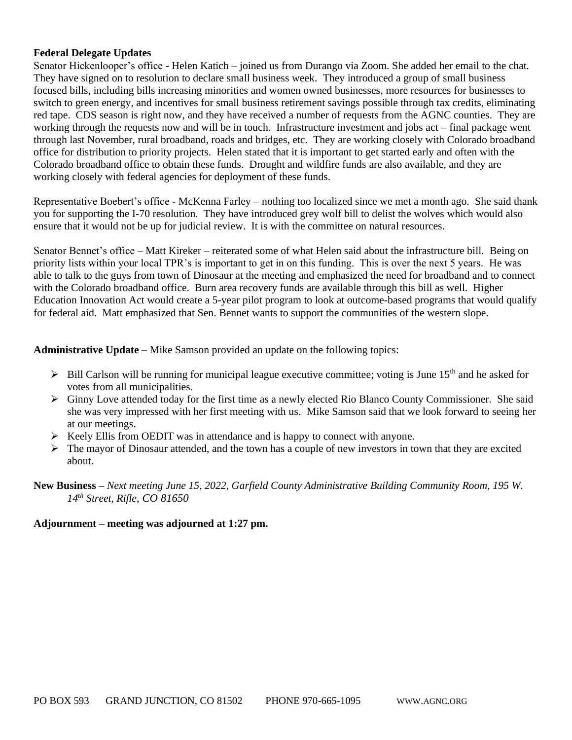#### **Federal Delegate Updates**

Senator Hickenlooper's office - Helen Katich – joined us from Durango via Zoom. She added her email to the chat. They have signed on to resolution to declare small business week. They introduced a group of small business focused bills, including bills increasing minorities and women owned businesses, more resources for businesses to switch to green energy, and incentives for small business retirement savings possible through tax credits, eliminating red tape. CDS season is right now, and they have received a number of requests from the AGNC counties. They are working through the requests now and will be in touch. Infrastructure investment and jobs act – final package went through last November, rural broadband, roads and bridges, etc. They are working closely with Colorado broadband office for distribution to priority projects. Helen stated that it is important to get started early and often with the Colorado broadband office to obtain these funds. Drought and wildfire funds are also available, and they are working closely with federal agencies for deployment of these funds.

Representative Boebert's office - McKenna Farley – nothing too localized since we met a month ago. She said thank you for supporting the I-70 resolution. They have introduced grey wolf bill to delist the wolves which would also ensure that it would not be up for judicial review. It is with the committee on natural resources.

Senator Bennet's office – Matt Kireker – reiterated some of what Helen said about the infrastructure bill. Being on priority lists within your local TPR's is important to get in on this funding. This is over the next 5 years. He was able to talk to the guys from town of Dinosaur at the meeting and emphasized the need for broadband and to connect with the Colorado broadband office. Burn area recovery funds are available through this bill as well. Higher Education Innovation Act would create a 5-year pilot program to look at outcome-based programs that would qualify for federal aid. Matt emphasized that Sen. Bennet wants to support the communities of the western slope.

**Administrative Update –** Mike Samson provided an update on the following topics:

- $\triangleright$  Bill Carlson will be running for municipal league executive committee; voting is June 15<sup>th</sup> and he asked for votes from all municipalities.
- $\triangleright$  Ginny Love attended today for the first time as a newly elected Rio Blanco County Commissioner. She said she was very impressed with her first meeting with us. Mike Samson said that we look forward to seeing her at our meetings.
- $\triangleright$  Keely Ellis from OEDIT was in attendance and is happy to connect with anyone.
- $\triangleright$  The mayor of Dinosaur attended, and the town has a couple of new investors in town that they are excited about.

**New Business –** *Next meeting June 15, 2022, Garfield County Administrative Building Community Room, 195 W. 14th Street, Rifle, CO 81650*

#### **Adjournment – meeting was adjourned at 1:27 pm.**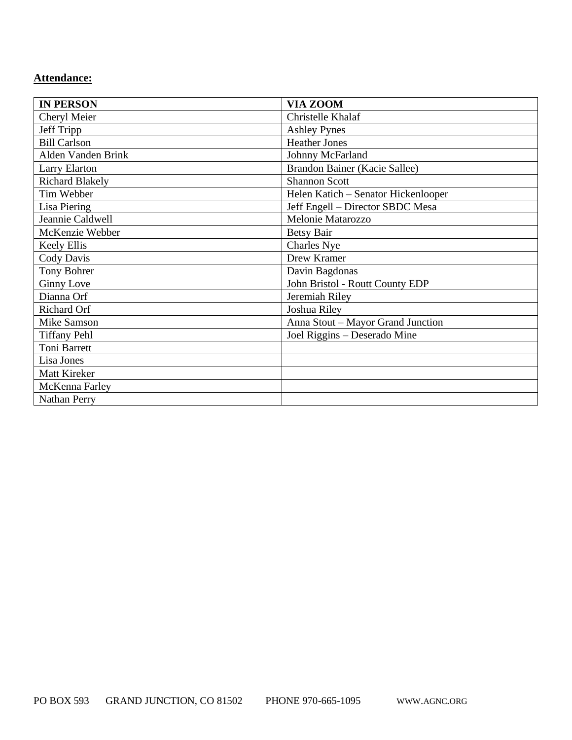# **Attendance:**

| <b>IN PERSON</b>       | <b>VIA ZOOM</b>                     |
|------------------------|-------------------------------------|
| Cheryl Meier           | Christelle Khalaf                   |
| Jeff Tripp             | <b>Ashley Pynes</b>                 |
| <b>Bill Carlson</b>    | <b>Heather Jones</b>                |
| Alden Vanden Brink     | Johnny McFarland                    |
| Larry Elarton          | Brandon Bainer (Kacie Sallee)       |
| <b>Richard Blakely</b> | <b>Shannon Scott</b>                |
| Tim Webber             | Helen Katich - Senator Hickenlooper |
| <b>Lisa Piering</b>    | Jeff Engell - Director SBDC Mesa    |
| Jeannie Caldwell       | Melonie Matarozzo                   |
| McKenzie Webber        | <b>Betsy Bair</b>                   |
| <b>Keely Ellis</b>     | Charles Nye                         |
| Cody Davis             | Drew Kramer                         |
| Tony Bohrer            | Davin Bagdonas                      |
| <b>Ginny Love</b>      | John Bristol - Routt County EDP     |
| Dianna Orf             | Jeremiah Riley                      |
| Richard Orf            | Joshua Riley                        |
| <b>Mike Samson</b>     | Anna Stout - Mayor Grand Junction   |
| <b>Tiffany Pehl</b>    | Joel Riggins - Deserado Mine        |
| Toni Barrett           |                                     |
| Lisa Jones             |                                     |
| <b>Matt Kireker</b>    |                                     |
| McKenna Farley         |                                     |
| <b>Nathan Perry</b>    |                                     |